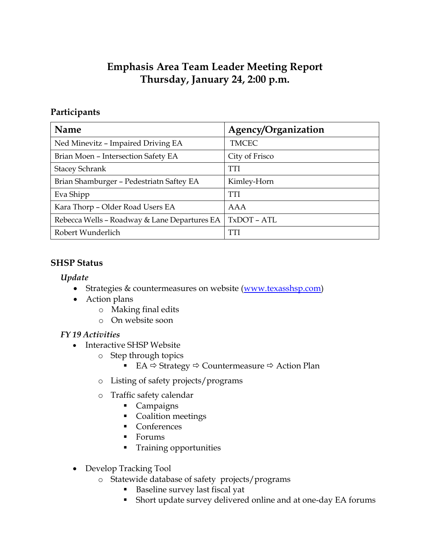# **Emphasis Area Team Leader Meeting Report Thursday, January 24, 2:00 p.m.**

## **Participants**

| <b>Name</b>                                  | Agency/Organization |
|----------------------------------------------|---------------------|
| Ned Minevitz - Impaired Driving EA           | <b>TMCEC</b>        |
| Brian Moen - Intersection Safety EA          | City of Frisco      |
| <b>Stacey Schrank</b>                        | <b>TTI</b>          |
| Brian Shamburger - Pedestriatn Saftey EA     | Kimley-Horn         |
| Eva Shipp                                    | <b>TTI</b>          |
| Kara Thorp - Older Road Users EA             | AAA                 |
| Rebecca Wells - Roadway & Lane Departures EA | TxDOT - ATL         |
| Robert Wunderlich                            | TTI                 |

### **SHSP Status**

#### *Update*

- Strategies & countermeasures on website [\(www.texasshsp.com\)](http://www.texasshsp.com/)
- Action plans
	- o Making final edits
	- o On website soon

## *FY 19 Activities*

- Interactive SHSP Website
	- o Step through topics
		- EA  $\Leftrightarrow$  Strategy  $\Leftrightarrow$  Countermeasure  $\Leftrightarrow$  Action Plan
	- o Listing of safety projects/programs
	- o Traffic safety calendar
		- Campaigns
		- Coalition meetings
		- Conferences
		- **Forums**
		- **Training opportunities**
- Develop Tracking Tool
	- o Statewide database of safety projects/programs
		- Baseline survey last fiscal yat
		- Short update survey delivered online and at one-day EA forums